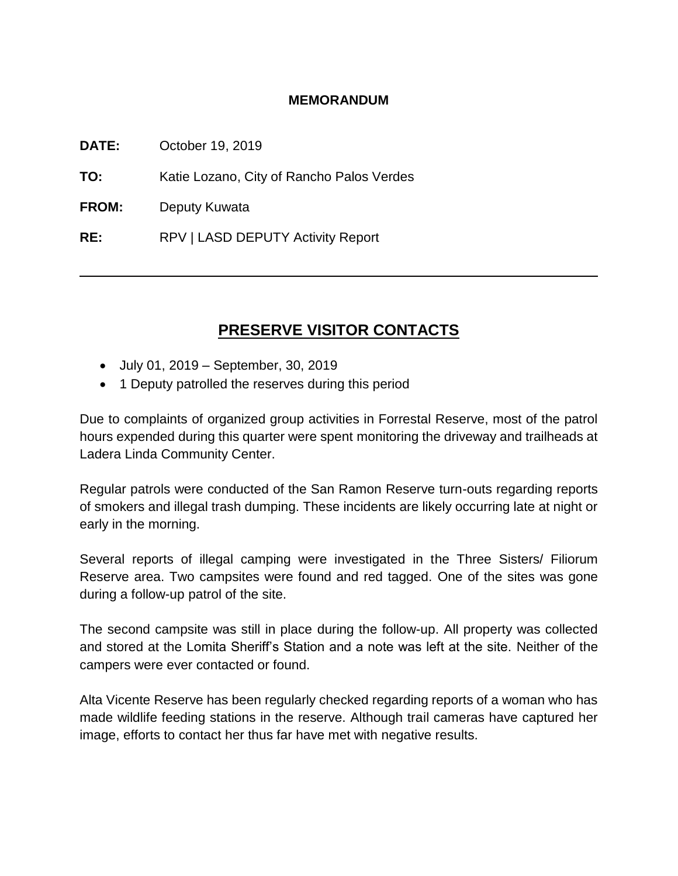## **MEMORANDUM**

**DATE:** October 19, 2019

**TO:** Katie Lozano, City of Rancho Palos Verdes

**FROM:** Deputy Kuwata

**RE:** RPV | LASD DEPUTY Activity Report

# **PRESERVE VISITOR CONTACTS**

- July 01, 2019 September, 30, 2019
- 1 Deputy patrolled the reserves during this period

Due to complaints of organized group activities in Forrestal Reserve, most of the patrol hours expended during this quarter were spent monitoring the driveway and trailheads at Ladera Linda Community Center.

Regular patrols were conducted of the San Ramon Reserve turn-outs regarding reports of smokers and illegal trash dumping. These incidents are likely occurring late at night or early in the morning.

Several reports of illegal camping were investigated in the Three Sisters/ Filiorum Reserve area. Two campsites were found and red tagged. One of the sites was gone during a follow-up patrol of the site.

The second campsite was still in place during the follow-up. All property was collected and stored at the Lomita Sheriff's Station and a note was left at the site. Neither of the campers were ever contacted or found.

Alta Vicente Reserve has been regularly checked regarding reports of a woman who has made wildlife feeding stations in the reserve. Although trail cameras have captured her image, efforts to contact her thus far have met with negative results.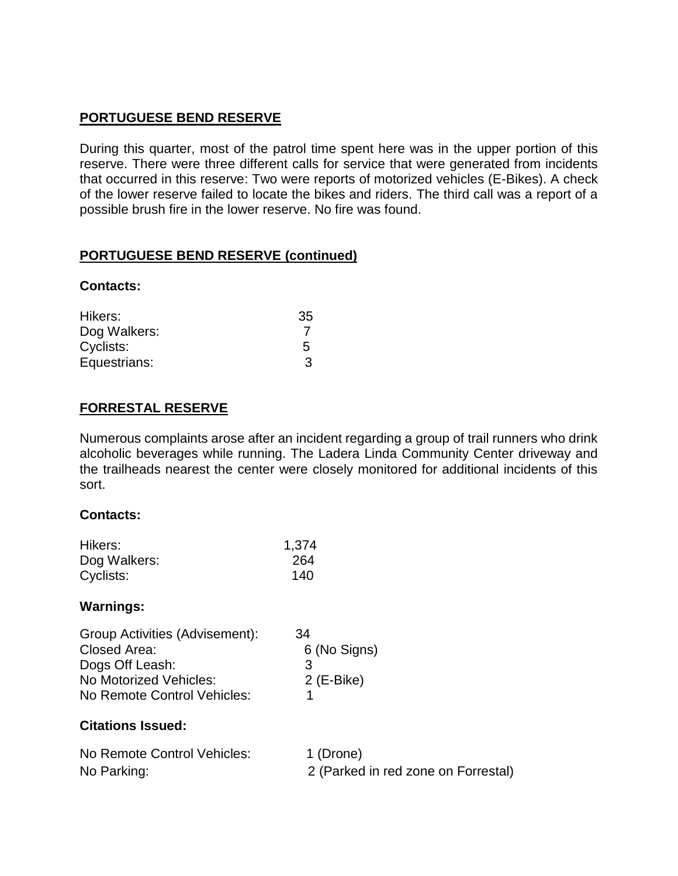## **PORTUGUESE BEND RESERVE**

During this quarter, most of the patrol time spent here was in the upper portion of this reserve. There were three different calls for service that were generated from incidents that occurred in this reserve: Two were reports of motorized vehicles (E-Bikes). A check of the lower reserve failed to locate the bikes and riders. The third call was a report of a possible brush fire in the lower reserve. No fire was found.

## **PORTUGUESE BEND RESERVE (continued)**

## **Contacts:**

| Hikers:      | 35 |
|--------------|----|
| Dog Walkers: |    |
| Cyclists:    | 5. |
| Equestrians: | 3  |

## **FORRESTAL RESERVE**

Numerous complaints arose after an incident regarding a group of trail runners who drink alcoholic beverages while running. The Ladera Linda Community Center driveway and the trailheads nearest the center were closely monitored for additional incidents of this sort.

## **Contacts:**

| Hikers:      | 1,374 |
|--------------|-------|
| Dog Walkers: | 264   |
| Cyclists:    | 140   |

## **Warnings:**

| Group Activities (Advisement): | 34           |
|--------------------------------|--------------|
| Closed Area:                   | 6 (No Signs) |
| Dogs Off Leash:                | З            |
| No Motorized Vehicles:         | $2$ (E-Bike) |
| No Remote Control Vehicles:    |              |

## **Citations Issued:**

| No Remote Control Vehicles: | 1 (Drone)                           |
|-----------------------------|-------------------------------------|
| No Parking:                 | 2 (Parked in red zone on Forrestal) |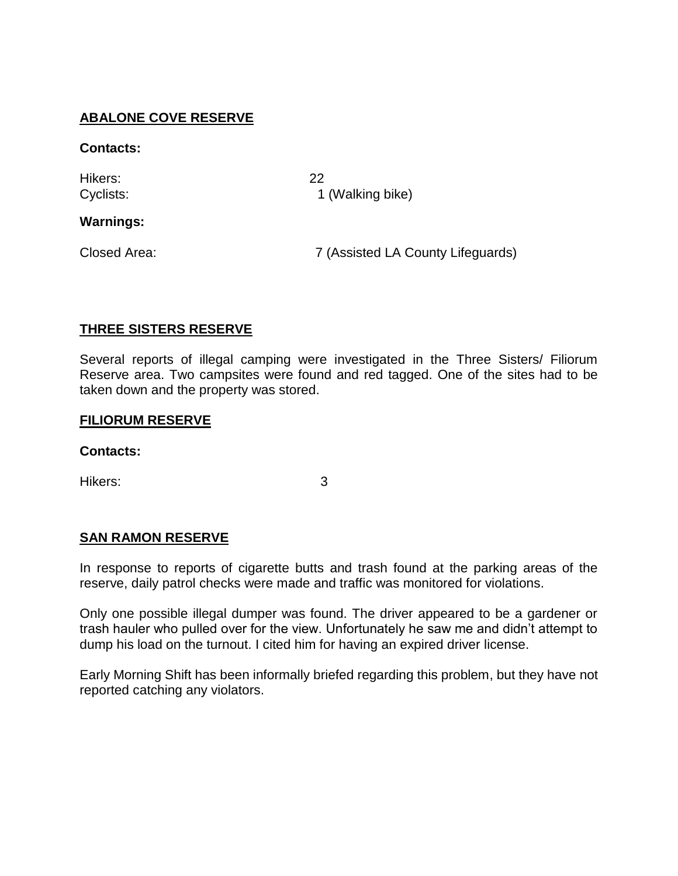## **ABALONE COVE RESERVE**

### **Contacts:**

Hikers: 22

Cyclists: 1 (Walking bike)

## **Warnings:**

Closed Area: 7 (Assisted LA County Lifeguards)

## **THREE SISTERS RESERVE**

Several reports of illegal camping were investigated in the Three Sisters/ Filiorum Reserve area. Two campsites were found and red tagged. One of the sites had to be taken down and the property was stored.

#### **FILIORUM RESERVE**

#### **Contacts:**

Hikers: 3

## **SAN RAMON RESERVE**

In response to reports of cigarette butts and trash found at the parking areas of the reserve, daily patrol checks were made and traffic was monitored for violations.

Only one possible illegal dumper was found. The driver appeared to be a gardener or trash hauler who pulled over for the view. Unfortunately he saw me and didn't attempt to dump his load on the turnout. I cited him for having an expired driver license.

Early Morning Shift has been informally briefed regarding this problem, but they have not reported catching any violators.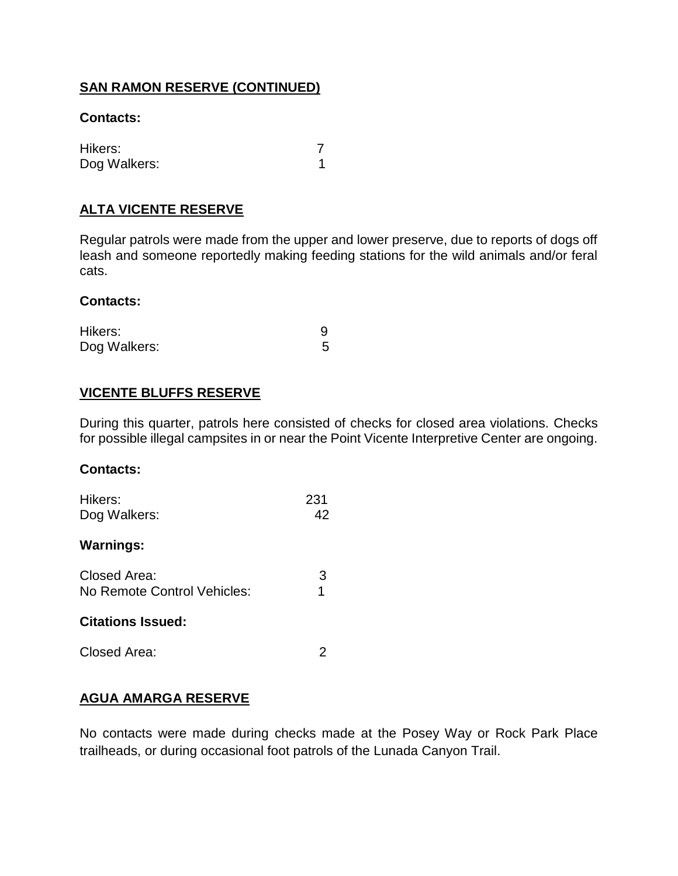## **SAN RAMON RESERVE (CONTINUED)**

## **Contacts:**

| Hikers:      |  |
|--------------|--|
| Dog Walkers: |  |

## **ALTA VICENTE RESERVE**

Regular patrols were made from the upper and lower preserve, due to reports of dogs off leash and someone reportedly making feeding stations for the wild animals and/or feral cats.

#### **Contacts:**

| Hikers:      |  |
|--------------|--|
| Dog Walkers: |  |

## **VICENTE BLUFFS RESERVE**

During this quarter, patrols here consisted of checks for closed area violations. Checks for possible illegal campsites in or near the Point Vicente Interpretive Center are ongoing.

#### **Contacts:**

| Hikers:<br>Dog Walkers:                     | 231<br>42 |
|---------------------------------------------|-----------|
| <b>Warnings:</b>                            |           |
| Closed Area:<br>No Remote Control Vehicles: | 3<br>1    |
| <b>Citations Issued:</b>                    |           |
| Closed Area:                                |           |

## **AGUA AMARGA RESERVE**

No contacts were made during checks made at the Posey Way or Rock Park Place trailheads, or during occasional foot patrols of the Lunada Canyon Trail.